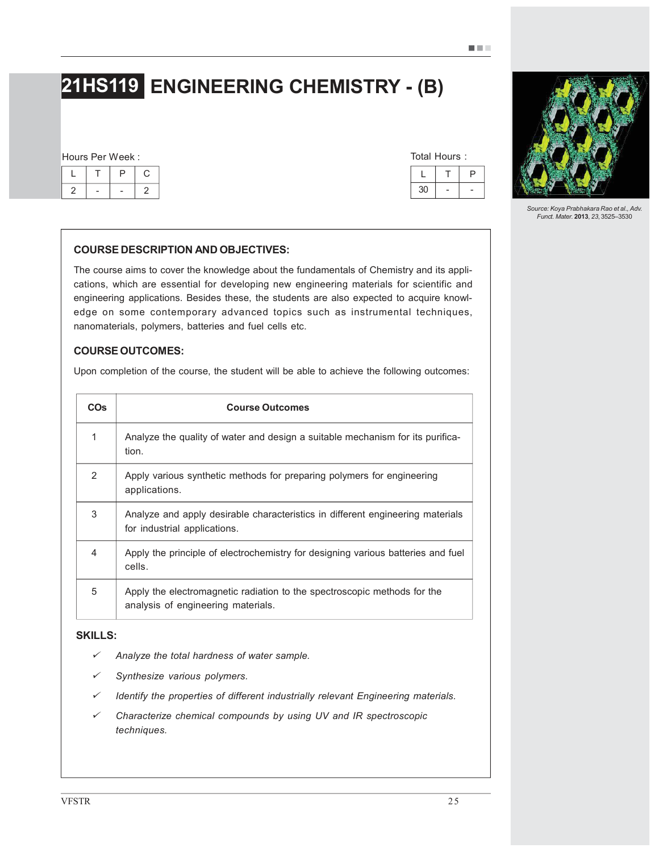# 21HS119 ENGINEERING CHEMISTRY - (B)

#### Hours Per Week :

| ◡  |  | ٠. |
|----|--|----|
| e. |  | ∼  |

| Total Hours: |    |  |  |  |
|--------------|----|--|--|--|
|              |    |  |  |  |
|              | 30 |  |  |  |

# COURSE DESCRIPTION AND OBJECTIVES:

The course aims to cover the knowledge about the fundamentals of Chemistry and its applications, which are essential for developing new engineering materials for scientific and engineering applications. Besides these, the students are also expected to acquire knowledge on some contemporary advanced topics such as instrumental techniques, nanomaterials, polymers, batteries and fuel cells etc.

#### COURSE OUTCOMES:

Upon completion of the course, the student will be able to achieve the following outcomes:

| <b>COs</b>     | <b>Course Outcomes</b>                                                                                         |  |
|----------------|----------------------------------------------------------------------------------------------------------------|--|
| 1              | Analyze the quality of water and design a suitable mechanism for its purifica-<br>tion.                        |  |
| $\mathcal{P}$  | Apply various synthetic methods for preparing polymers for engineering<br>applications.                        |  |
| 3              | Analyze and apply desirable characteristics in different engineering materials<br>for industrial applications. |  |
| $\overline{4}$ | Apply the principle of electrochemistry for designing various batteries and fuel<br>cells.                     |  |
| 5              | Apply the electromagnetic radiation to the spectroscopic methods for the<br>analysis of engineering materials. |  |

# SKILLS:

- ¸*Analyze the total hardness of water sample.*
- ¸*Synthesize various polymers.*
- ¸*Identify the properties of different industrially relevant Engineering materials.*
- ¸ *Characterize chemical compounds by using UV and IR spectroscopic techniques.*



*Source: Koya Prabhakara Rao et al., Adv. Funct. Mater.* 2013, *23*, 3525–3530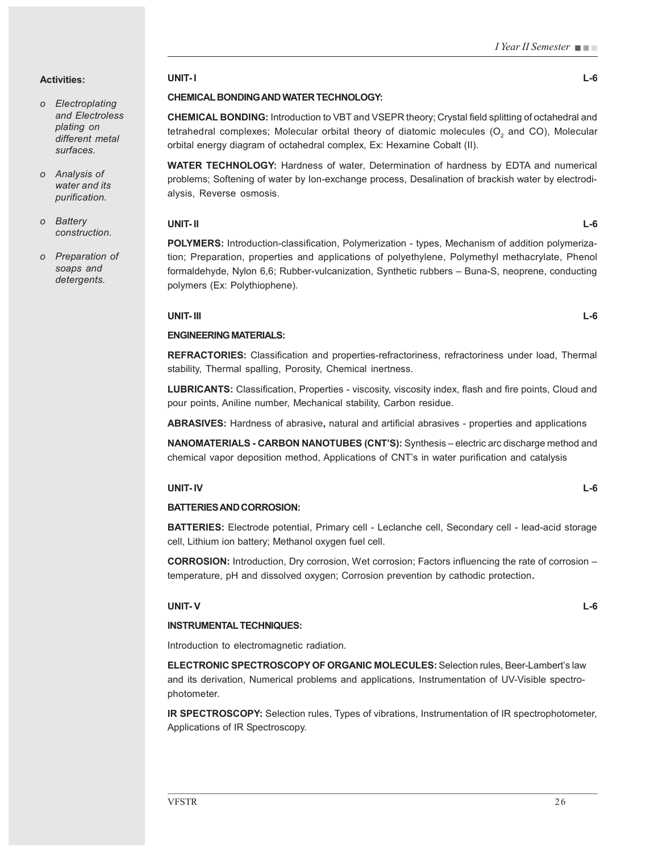I Year II Semester

#### Activities:

- *o Electroplating and Electroless plating on different metal surfaces.*
- *o Analysis of water and its purification.*
- *o Battery construction.*
- *o Preparation of soaps and detergents.*

# UNIT- I L-6

# CHEMICAL BONDING AND WATER TECHNOLOGY:

CHEMICAL BONDING: Introduction to VBT and VSEPR theory; Crystal field splitting of octahedral and tetrahedral complexes; Molecular orbital theory of diatomic molecules (O $_{\rm _2}$  and CO), Molecular orbital energy diagram of octahedral complex, Ex: Hexamine Cobalt (II).

WATER TECHNOLOGY: Hardness of water, Determination of hardness by EDTA and numerical problems; Softening of water by Ion-exchange process, Desalination of brackish water by electrodialysis, Reverse osmosis.

#### UNIT- II L-6

POLYMERS: Introduction-classification, Polymerization - types, Mechanism of addition polymerization; Preparation, properties and applications of polyethylene, Polymethyl methacrylate, Phenol formaldehyde, Nylon 6,6; Rubber-vulcanization, Synthetic rubbers – Buna-S, neoprene, conducting polymers (Ex: Polythiophene).

# UNIT- III L-6

# ENGINEERING MATERIALS:

REFRACTORIES: Classification and properties-refractoriness, refractoriness under load, Thermal stability, Thermal spalling, Porosity, Chemical inertness.

LUBRICANTS: Classification, Properties - viscosity, viscosity index, flash and fire points, Cloud and pour points, Aniline number, Mechanical stability, Carbon residue.

ABRASIVES: Hardness of abrasive, natural and artificial abrasives - properties and applications

NANOMATERIALS - CARBON NANOTUBES (CNT'S): Synthesis – electric arc discharge method and chemical vapor deposition method, Applications of CNT's in water purification and catalysis

# UNIT- IV L-6

# BATTERIES AND CORROSION:

BATTERIES: Electrode potential, Primary cell - Leclanche cell, Secondary cell - lead-acid storage cell, Lithium ion battery; Methanol oxygen fuel cell.

CORROSION: Introduction, Dry corrosion, Wet corrosion; Factors influencing the rate of corrosion – temperature, pH and dissolved oxygen; Corrosion prevention by cathodic protection.

# UNIT- V L-6

#### INSTRUMENTAL TECHNIQUES:

Introduction to electromagnetic radiation.

ELECTRONIC SPECTROSCOPY OF ORGANIC MOLECULES: Selection rules, Beer-Lambert's law and its derivation, Numerical problems and applications, Instrumentation of UV-Visible spectrophotometer.

IR SPECTROSCOPY: Selection rules, Types of vibrations, Instrumentation of IR spectrophotometer, Applications of IR Spectroscopy.